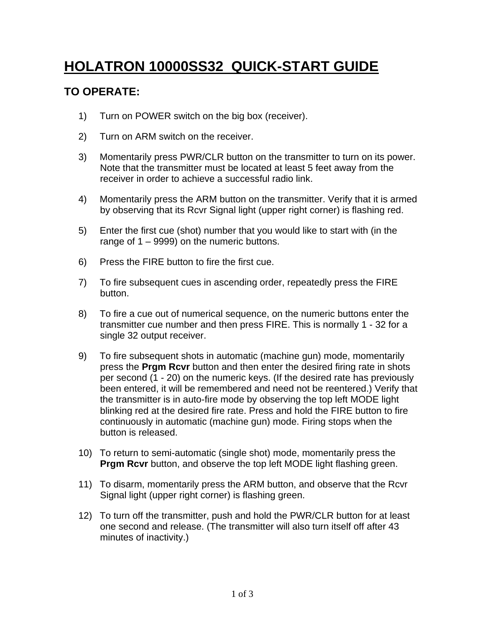## **HOLATRON 10000SS32 QUICK-START GUIDE**

## **TO OPERATE:**

- 1) Turn on POWER switch on the big box (receiver).
- 2) Turn on ARM switch on the receiver.
- 3) Momentarily press PWR/CLR button on the transmitter to turn on its power. Note that the transmitter must be located at least 5 feet away from the receiver in order to achieve a successful radio link.
- 4) Momentarily press the ARM button on the transmitter. Verify that it is armed by observing that its Rcvr Signal light (upper right corner) is flashing red.
- 5) Enter the first cue (shot) number that you would like to start with (in the range of 1 – 9999) on the numeric buttons.
- 6) Press the FIRE button to fire the first cue.
- 7) To fire subsequent cues in ascending order, repeatedly press the FIRE **button.** The contract of the contract of the contract of the contract of the contract of the contract of the contract of the contract of the contract of the contract of the contract of the contract of the contract of the
- 8) To fire a cue out of numerical sequence, on the numeric buttons enter the transmitter cue number and then press FIRE. This is normally 1 - 32 for a single 32 output receiver.
- 9) To fire subsequent shots in automatic (machine gun) mode, momentarily press the **Prgm Rcvr** button and then enter the desired firing rate in shots per second (1 - 20) on the numeric keys. (If the desired rate has previously been entered, it will be remembered and need not be reentered.) Verify that the transmitter is in auto-fire mode by observing the top left MODE light blinking red at the desired fire rate. Press and hold the FIRE button to fire continuously in automatic (machine gun) mode. Firing stops when the button is released.
- 10) To return to semi-automatic (single shot) mode, momentarily press the **Prgm Rcvr** button, and observe the top left MODE light flashing green.
- 11) To disarm, momentarily press the ARM button, and observe that the Rcvr Signal light (upper right corner) is flashing green.
- 12) To turn off the transmitter, push and hold the PWR/CLR button for at least one second and release. (The transmitter will also turn itself off after 43 minutes of inactivity.)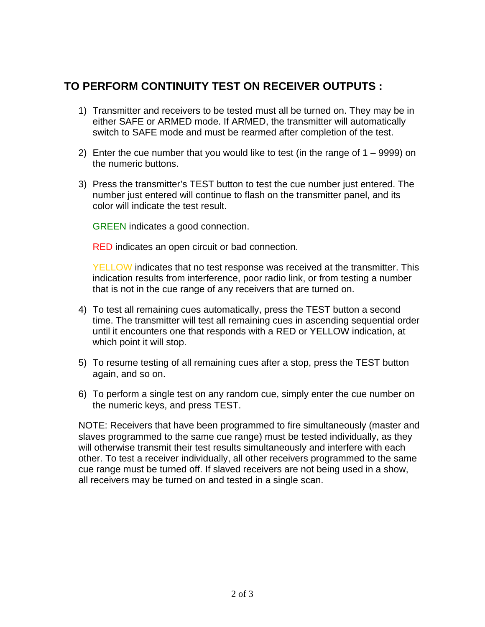## **TO PERFORM CONTINUITY TEST ON RECEIVER OUTPUTS :**

- 1) Transmitter and receivers to be tested must all be turned on. They may be in either SAFE or ARMED mode. If ARMED, the transmitter will automatically switch to SAFE mode and must be rearmed after completion of the test.
- 2) Enter the cue number that you would like to test (in the range of  $1 9999$ ) on the numeric buttons.
- 3) Press the transmitter's TEST button to test the cue number just entered. The number just entered will continue to flash on the transmitter panel, and its color will indicate the test result.

GREEN indicates a good connection.

RED indicates an open circuit or bad connection.

YELLOW indicates that no test response was received at the transmitter. This indication results from interference, poor radio link, or from testing a number that is not in the cue range of any receivers that are turned on.

- 4) To test all remaining cues automatically, press the TEST button a second time. The transmitter will test all remaining cues in ascending sequential order until it encounters one that responds with a RED or YELLOW indication, at which point it will stop.
- 5) To resume testing of all remaining cues after a stop, press the TEST button again, and so on.
- 6) To perform a single test on any random cue, simply enter the cue number on the numeric keys, and press TEST.

NOTE: Receivers that have been programmed to fire simultaneously (master and slaves programmed to the same cue range) must be tested individually, as they will otherwise transmit their test results simultaneously and interfere with each other. To test a receiver individually, all other receivers programmed to the same cue range must be turned off. If slaved receivers are not being used in a show, all receivers may be turned on and tested in a single scan.